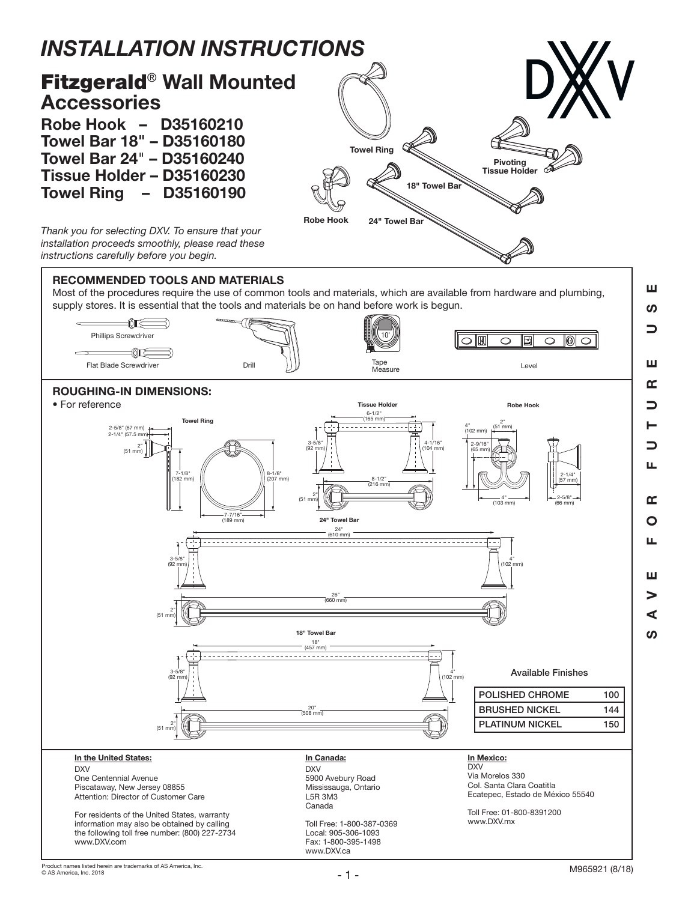

Most of the procedures require the use of common tools and materials, which are available from hardware and plumbing, supply stores. It is essential that the tools and materials be on hand before work is begun.



www.DXV.ca

SAVE FOR FUTURE USE

 $\alpha$  $\overline{O}$ LL.

ш  $\geq$  $\blacktriangleleft$ **S** 

 $\overline{\phantom{0}}$ Щ

**S** 

 $\Box$ 

Ш  $\alpha$ ┑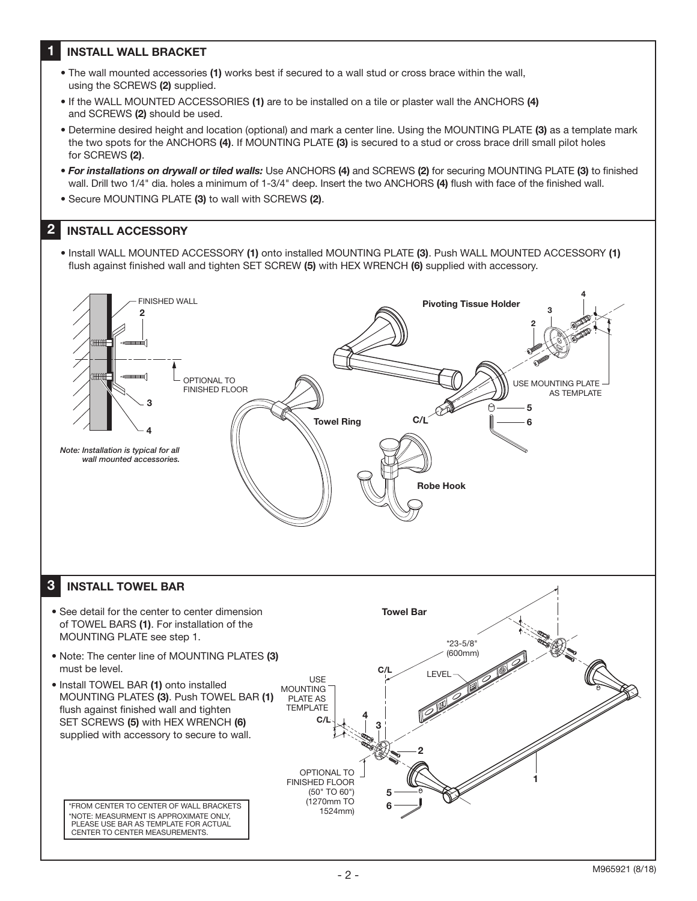## 1 INSTALL WALL BRACKET

- The wall mounted accessories (1) works best if secured to a wall stud or cross brace within the wall, using the SCREWS (2) supplied.
- If the WALL MOUNTED ACCESSORIES (1) are to be installed on a tile or plaster wall the ANCHORS (4) and SCREWS (2) should be used.
- Determine desired height and location (optional) and mark a center line. Using the MOUNTING PLATE (3) as a template mark the two spots for the ANCHORS (4). If MOUNTING PLATE (3) is secured to a stud or cross brace drill small pilot holes for SCREWS (2).
- *For installations on drywall or tiled walls:* Use ANCHORS (4) and SCREWS (2) for securing MOUNTING PLATE (3) to finished wall. Drill two 1/4" dia. holes a minimum of 1-3/4" deep. Insert the two ANCHORS (4) flush with face of the finished wall.
- Secure MOUNTING PLATE (3) to wall with SCREWS (2).

## 2 INSTALL ACCESSORY

• Install WALL MOUNTED ACCESSORY (1) onto installed MOUNTING PLATE (3). Push WALL MOUNTED ACCESSORY (1) flush against finished wall and tighten SET SCREW (5) with HEX WRENCH (6) supplied with accessory.